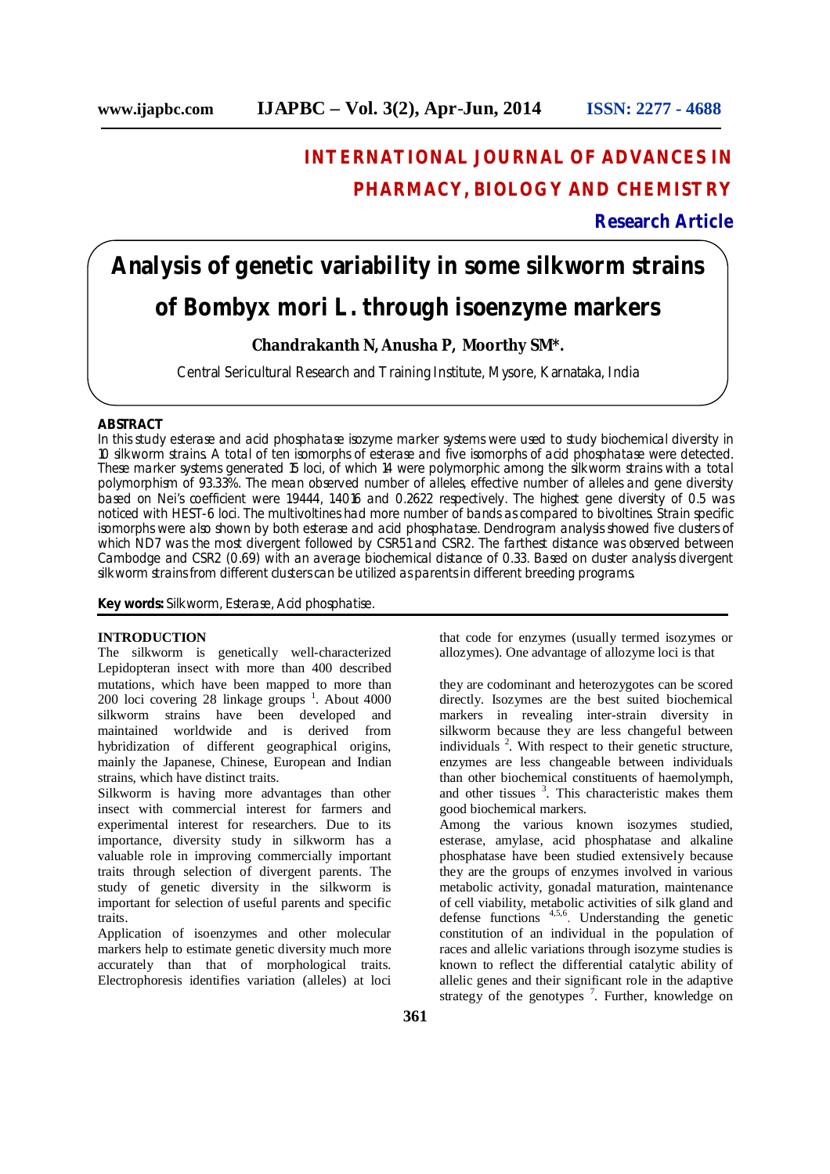## **INTERNATIONAL JOURNAL OF ADVANCES IN PHARMACY, BIOLOGY AND CHEMISTRY**

## **Research Article**

# **Analysis of genetic variability in some silkworm strains of Bombyx** *mori* **L. through isoenzyme markers**

## **Chandrakanth N, Anusha P, Moorthy SM\*.**

Central Sericultural Research and Training Institute, Mysore, Karnataka, India

## **ABSTRACT**

In this study esterase and acid phosphatase isozyme marker systems were used to study biochemical diversity in 10 silkworm strains. A total of ten isomorphs of esterase and five isomorphs of acid phosphatase were detected. These marker systems generated 15 loci, of which 14 were polymorphic among the silkworm strains with a total polymorphism of 93.33%. The mean observed number of alleles, effective number of alleles and gene diversity based on Nei's coefficient were 1.9444, 1.4016 and 0.2622 respectively. The highest gene diversity of 0.5 was noticed with HEST-6 loci. The multivoltines had more number of bands as compared to bivoltines. Strain specific isomorphs were also shown by both esterase and acid phosphatase. Dendrogram analysis showed five clusters of which ND7 was the most divergent followed by CSR51 and CSR2. The farthest distance was observed between Cambodge and CSR2 (0.69) with an average biochemical distance of 0.33. Based on cluster analysis divergent silkworm strains from different clusters can be utilized as parents in different breeding programs.

**Key words:** Silkworm, Esterase, Acid phosphatise.

#### **INTRODUCTION**

The silkworm is genetically well-characterized Lepidopteran insect with more than 400 described mutations, which have been mapped to more than  $200$  loci covering  $28$  linkage groups  $^{1}$ . About 4000 silkworm strains have been developed and maintained worldwide and is derived from hybridization of different geographical origins, mainly the Japanese, Chinese, European and Indian strains, which have distinct traits.

Silkworm is having more advantages than other insect with commercial interest for farmers and experimental interest for researchers. Due to its importance, diversity study in silkworm has a valuable role in improving commercially important traits through selection of divergent parents. The study of genetic diversity in the silkworm is important for selection of useful parents and specific traits.

Application of isoenzymes and other molecular markers help to estimate genetic diversity much more accurately than that of morphological traits. Electrophoresis identifies variation (alleles) at loci

that code for enzymes (usually termed isozymes or allozymes). One advantage of allozyme loci is that

they are codominant and heterozygotes can be scored directly. Isozymes are the best suited biochemical markers in revealing inter-strain diversity in silkworm because they are less changeful between individuals  $2$ . With respect to their genetic structure, enzymes are less changeable between individuals than other biochemical constituents of haemolymph, and other tissues  $3$ . This characteristic makes them good biochemical markers.

Among the various known isozymes studied, esterase, amylase, acid phosphatase and alkaline phosphatase have been studied extensively because they are the groups of enzymes involved in various metabolic activity, gonadal maturation, maintenance of cell viability, metabolic activities of silk gland and defense functions 4,5,6 . Understanding the genetic constitution of an individual in the population of races and allelic variations through isozyme studies is known to reflect the differential catalytic ability of allelic genes and their significant role in the adaptive strategy of the genotypes<sup>7</sup>. Further, knowledge on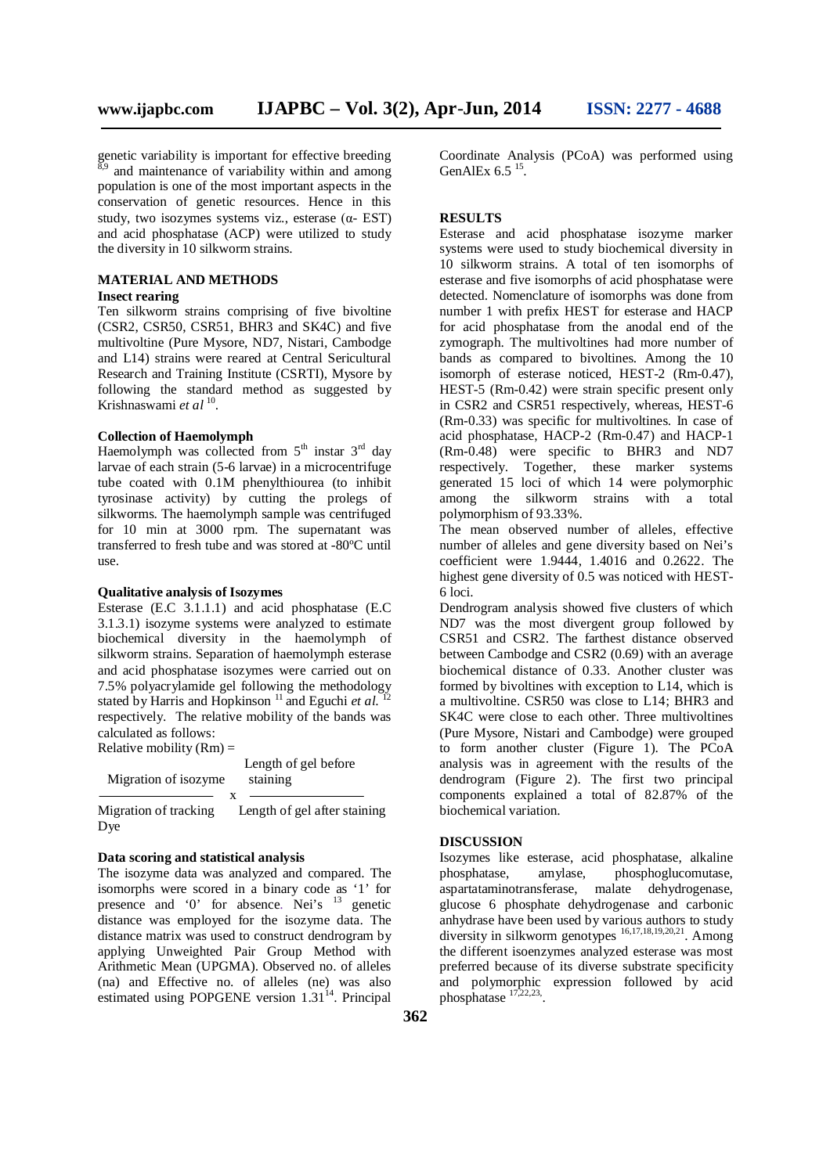genetic variability is important for effective breeding  $8,9$  and maintenance of variability within and among population is one of the most important aspects in the conservation of genetic resources. Hence in this study, two isozymes systems viz., esterase  $(\alpha$ - EST) and acid phosphatase (ACP) were utilized to study the diversity in 10 silkworm strains.

#### **MATERIAL AND METHODS**

#### **Insect rearing**

Ten silkworm strains comprising of five bivoltine (CSR2, CSR50, CSR51, BHR3 and SK4C) and five multivoltine (Pure Mysore, ND7, Nistari, Cambodge and L14) strains were reared at Central Sericultural Research and Training Institute (CSRTI), Mysore by following the standard method as suggested by Krishnaswami et al <sup>10</sup>.

#### **Collection of Haemolymph**

Haemolymph was collected from  $5<sup>th</sup>$  instar  $3<sup>rd</sup>$  day larvae of each strain (5-6 larvae) in a microcentrifuge tube coated with 0.1M phenylthiourea (to inhibit tyrosinase activity) by cutting the prolegs of silkworms. The haemolymph sample was centrifuged for 10 min at 3000 rpm. The supernatant was transferred to fresh tube and was stored at -80ºC until use.

#### **Qualitative analysis of Isozymes**

Esterase (E.C 3.1.1.1) and acid phosphatase (E.C 3.1.3.1) isozyme systems were analyzed to estimate biochemical diversity in the haemolymph of silkworm strains. Separation of haemolymph esterase and acid phosphatase isozymes were carried out on 7.5% polyacrylamide gel following the methodology<br>stated by Harris and Hopkinson  $\frac{11}{2}$  and Equation of  $aI^{-12}$ stated by Harris and Hopkinson <sup>11</sup> and Eguchi *et al*. respectively. The relative mobility of the bands was calculated as follows: Relative mobility  $(Rm)$  =

| Migration of isozyme         | Length of gel before<br>staining |
|------------------------------|----------------------------------|
| Migration of tracking<br>Dye | Length of gel after staining     |

#### **Data scoring and statistical analysis**

The isozyme data was analyzed and compared. The isomorphs were scored in a binary code as '1' for presence and '0' for absence. Nei's  $13$  genetic distance was employed for the isozyme data. The distance matrix was used to construct dendrogram by applying Unweighted Pair Group Method with Arithmetic Mean (UPGMA). Observed no. of alleles (na) and Effective no. of alleles (ne) was also estimated using POPGENE version  $1.31<sup>14</sup>$ . Principal Coordinate Analysis (PCoA) was performed using GenAlEx  $6.5<sup>15</sup>$ .

#### **RESULTS**

Esterase and acid phosphatase isozyme marker systems were used to study biochemical diversity in 10 silkworm strains. A total of ten isomorphs of esterase and five isomorphs of acid phosphatase were detected. Nomenclature of isomorphs was done from number 1 with prefix HEST for esterase and HACP for acid phosphatase from the anodal end of the zymograph. The multivoltines had more number of bands as compared to bivoltines. Among the 10 isomorph of esterase noticed, HEST-2 (Rm-0.47), HEST-5 (Rm-0.42) were strain specific present only in CSR2 and CSR51 respectively, whereas, HEST-6 (Rm-0.33) was specific for multivoltines. In case of acid phosphatase, HACP-2 (Rm-0.47) and HACP-1 (Rm-0.48) were specific to BHR3 and ND7 respectively. Together, these marker systems generated 15 loci of which 14 were polymorphic among the silkworm strains with a total polymorphism of 93.33%.

The mean observed number of alleles, effective number of alleles and gene diversity based on Nei's coefficient were 1.9444, 1.4016 and 0.2622. The highest gene diversity of 0.5 was noticed with HEST-6 loci.

Dendrogram analysis showed five clusters of which ND7 was the most divergent group followed by CSR51 and CSR2. The farthest distance observed between Cambodge and CSR2 (0.69) with an average biochemical distance of 0.33. Another cluster was formed by bivoltines with exception to L14, which is a multivoltine. CSR50 was close to L14; BHR3 and SK4C were close to each other. Three multivoltines (Pure Mysore, Nistari and Cambodge) were grouped to form another cluster (Figure 1). The PCoA analysis was in agreement with the results of the dendrogram (Figure 2). The first two principal components explained a total of 82.87% of the biochemical variation.

#### **DISCUSSION**

Isozymes like esterase, acid phosphatase, alkaline phosphatase, amylase, phosphoglucomutase, aspartataminotransferase, malate dehydrogenase, glucose 6 phosphate dehydrogenase and carbonic anhydrase have been used by various authors to study diversity in silkworm genotypes 16,17,18,19,20,21. Among the different isoenzymes analyzed esterase was most preferred because of its diverse substrate specificity and polymorphic expression followed by acid phosphatase  $17,22,23$ .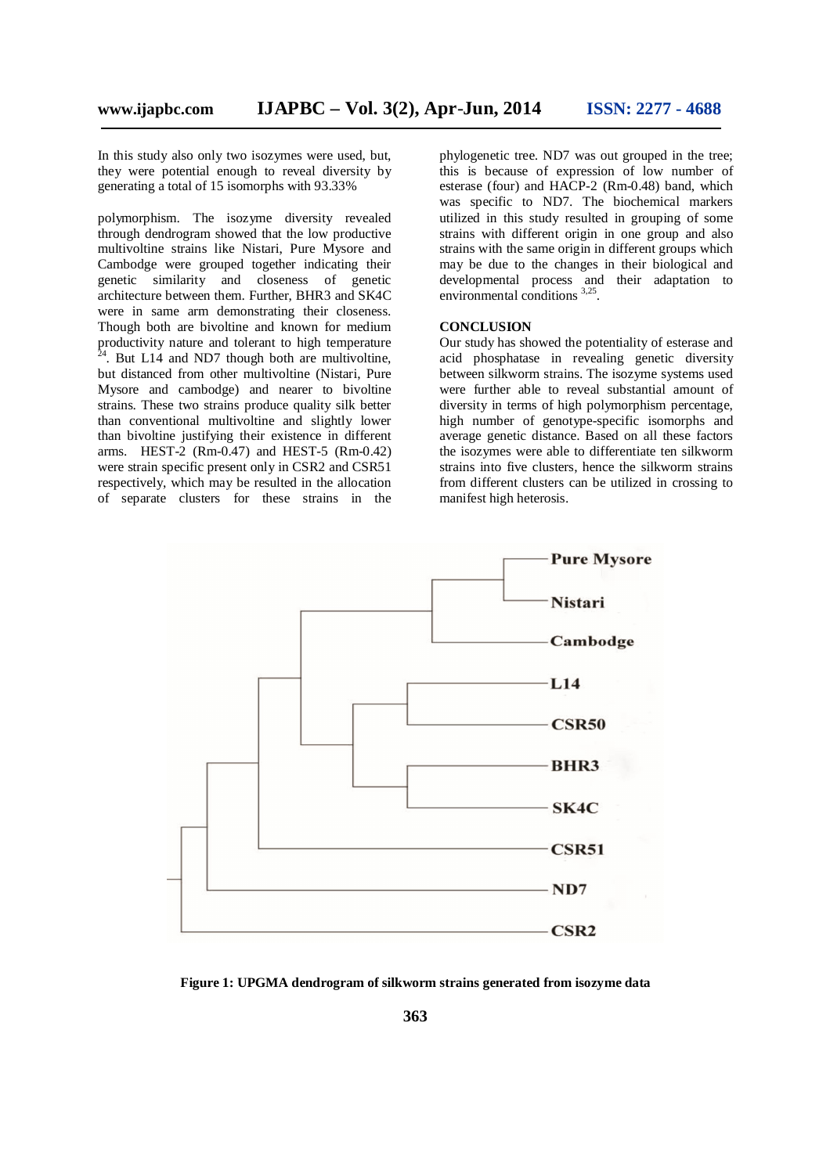In this study also only two isozymes were used, but, they were potential enough to reveal diversity by generating a total of 15 isomorphs with 93.33%

polymorphism. The isozyme diversity revealed through dendrogram showed that the low productive multivoltine strains like Nistari, Pure Mysore and Cambodge were grouped together indicating their genetic similarity and closeness of genetic architecture between them. Further, BHR3 and SK4C were in same arm demonstrating their closeness. Though both are bivoltine and known for medium productivity nature and tolerant to high temperature  $^{24}$  But I 14 and ND7 though both are multivaling <sup>4</sup>. But L14 and ND7 though both are multivoltine, but distanced from other multivoltine (Nistari, Pure Mysore and cambodge) and nearer to bivoltine strains. These two strains produce quality silk better than conventional multivoltine and slightly lower than bivoltine justifying their existence in different arms. HEST-2 (Rm-0.47) and HEST-5 (Rm-0.42) were strain specific present only in CSR2 and CSR51 respectively, which may be resulted in the allocation of separate clusters for these strains in the

phylogenetic tree. ND7 was out grouped in the tree; this is because of expression of low number of esterase (four) and HACP-2 (Rm-0.48) band, which was specific to ND7. The biochemical markers utilized in this study resulted in grouping of some strains with different origin in one group and also strains with the same origin in different groups which may be due to the changes in their biological and developmental process and their adaptation to environmental conditions <sup>3,25</sup>.

## **CONCLUSION**

Our study has showed the potentiality of esterase and acid phosphatase in revealing genetic diversity between silkworm strains. The isozyme systems used were further able to reveal substantial amount of diversity in terms of high polymorphism percentage, high number of genotype-specific isomorphs and average genetic distance. Based on all these factors the isozymes were able to differentiate ten silkworm strains into five clusters, hence the silkworm strains from different clusters can be utilized in crossing to manifest high heterosis.



**Figure 1: UPGMA dendrogram of silkworm strains generated from isozyme data**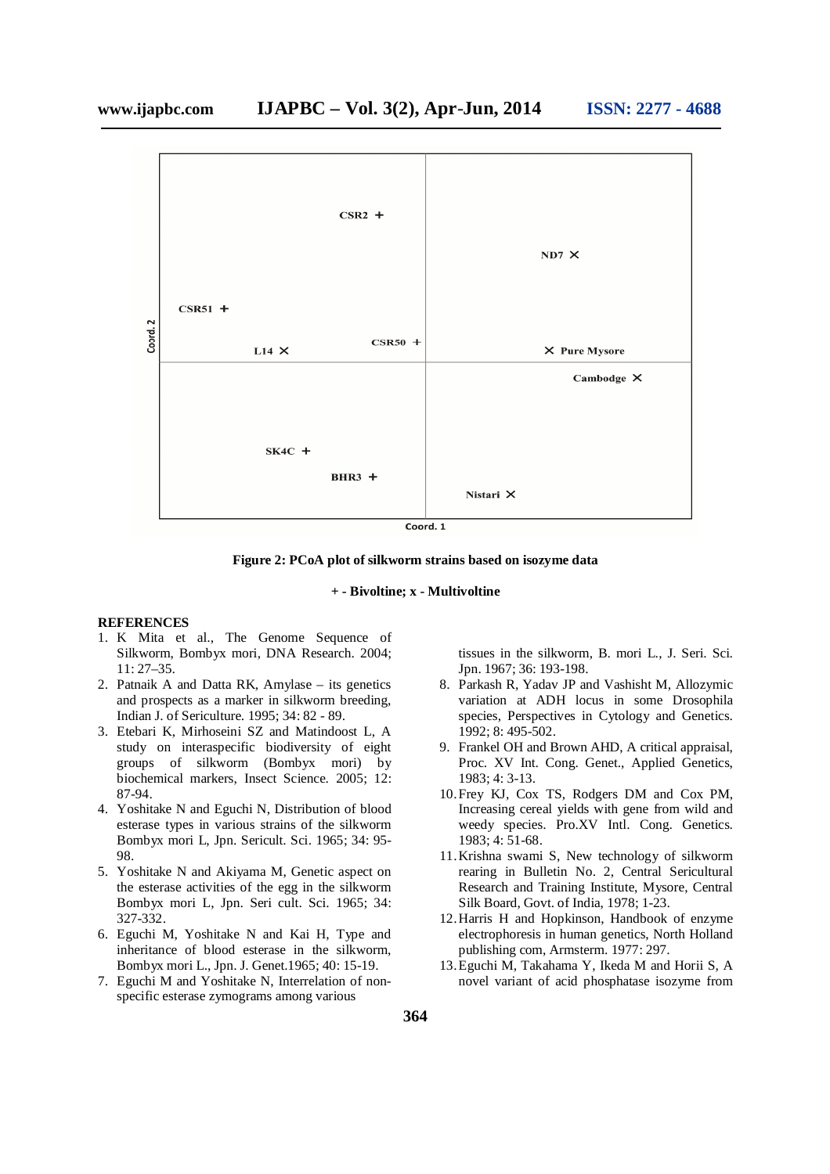

 $Coord. 1$ 

**Figure 2: PCoA plot of silkworm strains based on isozyme data**

## **+ - Bivoltine; x - Multivoltine**

### **REFERENCES**

- 1. K Mita et al., The Genome Sequence of Silkworm, Bombyx mori, DNA Research. 2004; 11: 27–35.
- 2. Patnaik A and Datta RK, Amylase its genetics and prospects as a marker in silkworm breeding, Indian J. of Sericulture. 1995; 34: 82 - 89.
- 3. Etebari K, Mirhoseini SZ and Matindoost L, A study on interaspecific biodiversity of eight groups of silkworm (Bombyx mori) by biochemical markers, Insect Science. 2005; 12: 87-94.
- 4. Yoshitake N and Eguchi N, Distribution of blood esterase types in various strains of the silkworm Bombyx mori L, Jpn. Sericult. Sci. 1965; 34: 95- 98.
- 5. Yoshitake N and Akiyama M, Genetic aspect on the esterase activities of the egg in the silkworm Bombyx mori L, Jpn. Seri cult. Sci. 1965; 34: 327-332.
- 6. Eguchi M, Yoshitake N and Kai H, Type and inheritance of blood esterase in the silkworm, Bombyx mori L., Jpn. J. Genet.1965; 40: 15-19.
- 7. Eguchi M and Yoshitake N, Interrelation of nonspecific esterase zymograms among various

tissues in the silkworm, B. mori L., J. Seri. Sci. Jpn. 1967; 36: 193-198.

- 8. Parkash R, Yadav JP and Vashisht M, Allozymic variation at ADH locus in some Drosophila species, Perspectives in Cytology and Genetics. 1992; 8: 495-502.
- 9. Frankel OH and Brown AHD, A critical appraisal, Proc. XV Int. Cong. Genet., Applied Genetics, 1983; 4: 3-13.
- 10.Frey KJ, Cox TS, Rodgers DM and Cox PM, Increasing cereal yields with gene from wild and weedy species. Pro.XV Intl. Cong. Genetics. 1983; 4: 51-68.
- 11.Krishna swami S, New technology of silkworm rearing in Bulletin No. 2, Central Sericultural Research and Training Institute, Mysore, Central Silk Board, Govt. of India, 1978; 1-23.
- 12.Harris H and Hopkinson, Handbook of enzyme electrophoresis in human genetics, North Holland publishing com, Armsterm. 1977: 297.
- 13.Eguchi M, Takahama Y, Ikeda M and Horii S, A novel variant of acid phosphatase isozyme from